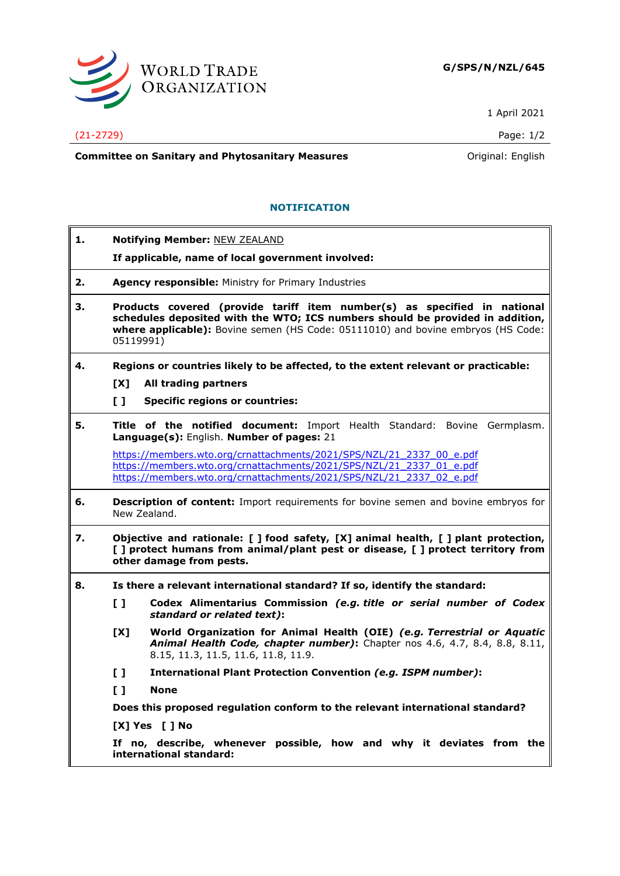

1 April 2021

(21-2729) Page: 1/2

**Committee on Sanitary and Phytosanitary Measures Committee on Sanitary and Phytosanitary Measures Committee on Sanitary and Phytosanitary Measures** 

## **NOTIFICATION**

| 1. | <b>Notifying Member: NEW ZEALAND</b>                                                                                                                                                                                                                       |                                                                                                                                                                                                                      |  |
|----|------------------------------------------------------------------------------------------------------------------------------------------------------------------------------------------------------------------------------------------------------------|----------------------------------------------------------------------------------------------------------------------------------------------------------------------------------------------------------------------|--|
|    |                                                                                                                                                                                                                                                            | If applicable, name of local government involved:                                                                                                                                                                    |  |
| 2. | Agency responsible: Ministry for Primary Industries                                                                                                                                                                                                        |                                                                                                                                                                                                                      |  |
| З. | Products covered (provide tariff item number(s) as specified in national<br>schedules deposited with the WTO; ICS numbers should be provided in addition,<br>where applicable): Bovine semen (HS Code: 05111010) and bovine embryos (HS Code:<br>05119991) |                                                                                                                                                                                                                      |  |
| 4. |                                                                                                                                                                                                                                                            | Regions or countries likely to be affected, to the extent relevant or practicable:                                                                                                                                   |  |
|    | [X]                                                                                                                                                                                                                                                        | All trading partners                                                                                                                                                                                                 |  |
|    | $\mathbf{L}$                                                                                                                                                                                                                                               | <b>Specific regions or countries:</b>                                                                                                                                                                                |  |
| 5. |                                                                                                                                                                                                                                                            | <b>Title of the notified document:</b> Import Health Standard: Bovine Germplasm.<br>Language(s): English. Number of pages: 21                                                                                        |  |
|    |                                                                                                                                                                                                                                                            | https://members.wto.org/crnattachments/2021/SPS/NZL/21 2337 00 e.pdf<br>https://members.wto.org/crnattachments/2021/SPS/NZL/21_2337_01_e.pdf<br>https://members.wto.org/crnattachments/2021/SPS/NZL/21 2337 02 e.pdf |  |
| 6. | <b>Description of content:</b> Import requirements for bovine semen and bovine embryos for<br>New Zealand.                                                                                                                                                 |                                                                                                                                                                                                                      |  |
| 7. | Objective and rationale: [ ] food safety, [X] animal health, [ ] plant protection,<br>[] protect humans from animal/plant pest or disease, [] protect territory from<br>other damage from pests.                                                           |                                                                                                                                                                                                                      |  |
| 8. |                                                                                                                                                                                                                                                            | Is there a relevant international standard? If so, identify the standard:                                                                                                                                            |  |
|    | $\mathbf{L}$                                                                                                                                                                                                                                               | Codex Alimentarius Commission (e.g. title or serial number of Codex<br>standard or related text):                                                                                                                    |  |
|    | [X]                                                                                                                                                                                                                                                        | World Organization for Animal Health (OIE) (e.g. Terrestrial or Aquatic<br>Animal Health Code, chapter number): Chapter nos 4.6, 4.7, 8.4, 8.8, 8.11,<br>8.15, 11.3, 11.5, 11.6, 11.8, 11.9.                         |  |
|    | $\mathbf{L}$                                                                                                                                                                                                                                               | <b>International Plant Protection Convention (e.g. ISPM number):</b>                                                                                                                                                 |  |
|    | $\mathbf{L}$                                                                                                                                                                                                                                               | <b>None</b>                                                                                                                                                                                                          |  |
|    |                                                                                                                                                                                                                                                            | Does this proposed regulation conform to the relevant international standard?                                                                                                                                        |  |
|    |                                                                                                                                                                                                                                                            | [X] Yes [ ] No                                                                                                                                                                                                       |  |
|    |                                                                                                                                                                                                                                                            | If no, describe, whenever possible, how and why it deviates from the<br>international standard:                                                                                                                      |  |